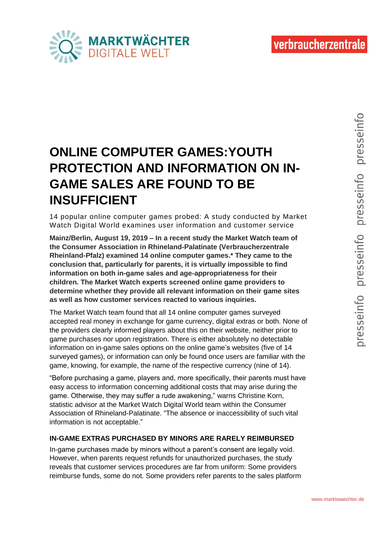

# **ONLINE COMPUTER GAMES:YOUTH PROTECTION AND INFORMATION ON IN-GAME SALES ARE FOUND TO BE INSUFFICIENT**

14 popular online computer games probed: A study conducted by Market Watch Digital World examines user information and customer service

**Mainz/Berlin, August 19, 2019 – In a recent study the Market Watch team of the Consumer Association in Rhineland-Palatinate (Verbraucherzentrale Rheinland-Pfalz) examined 14 online computer games.\* They came to the conclusion that, particularly for parents, it is virtually impossible to find information on both in-game sales and age-appropriateness for their children. The Market Watch experts screened online game providers to determine whether they provide all relevant information on their game sites as well as how customer services reacted to various inquiries.**

The Market Watch team found that all 14 online computer games surveyed accepted real money in exchange for game currency, digital extras or both. None of the providers clearly informed players about this on their website, neither prior to game purchases nor upon registration. There is either absolutely no detectable information on in-game sales options on the online game's websites (five of 14 surveyed games), or information can only be found once users are familiar with the game, knowing, for example, the name of the respective currency (nine of 14).

"Before purchasing a game, players and, more specifically, their parents must have easy access to information concerning additional costs that may arise during the game. Otherwise, they may suffer a rude awakening," warns Christine Korn, statistic advisor at the Market Watch Digital World team within the Consumer Association of Rhineland-Palatinate. "The absence or inaccessibility of such vital information is not acceptable."

## **IN-GAME EXTRAS PURCHASED BY MINORS ARE RARELY REIMBURSED**

In-game purchases made by minors without a parent's consent are legally void. However, when parents request refunds for unauthorized purchases, the study reveals that customer services procedures are far from uniform: Some providers reimburse funds, some do not. Some providers refer parents to the sales platform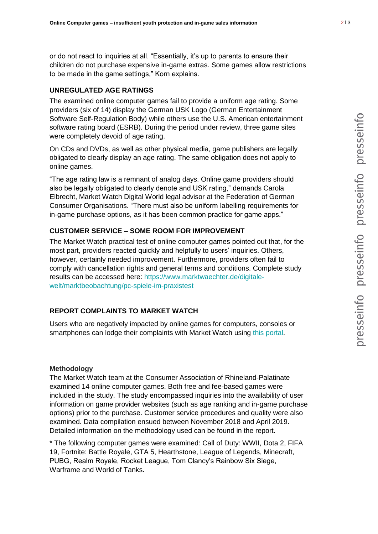or do not react to inquiries at all. "Essentially, it's up to parents to ensure their children do not purchase expensive in-game extras. Some games allow restrictions to be made in the game settings," Korn explains.

## **UNREGULATED AGE RATINGS**

The examined online computer games fail to provide a uniform age rating. Some providers (six of 14) display the German USK Logo (German Entertainment Software Self-Regulation Body) while others use the U.S. American entertainment software rating board (ESRB). During the period under review, three game sites were completely devoid of age rating.

On CDs and DVDs, as well as other physical media, game publishers are legally obligated to clearly display an age rating. The same obligation does not apply to online games.

"The age rating law is a remnant of analog days. Online game providers should also be legally obligated to clearly denote and USK rating," demands Carola Elbrecht, Market Watch Digital World legal advisor at the Federation of German Consumer Organisations. "There must also be uniform labelling requirements for in-game purchase options, as it has been common practice for game apps."

## **CUSTOMER SERVICE – SOME ROOM FOR IMPROVEMENT**

The Market Watch practical test of online computer games pointed out that, for the most part, providers reacted quickly and helpfully to users' inquiries. Others, however, certainly needed improvement. Furthermore, providers often fail to comply with cancellation rights and general terms and conditions. Complete study results can be accessed here: [https://www.marktwaechter.de/digitale](https://www.marktwaechter.de/digitale-welt/marktbeobachtung/pc-spiele-im-praxistest)[welt/marktbeobachtung/pc-spiele-im-praxistest](https://www.marktwaechter.de/digitale-welt/marktbeobachtung/pc-spiele-im-praxistest)

## **REPORT COMPLAINTS TO MARKET WATCH**

Users who are negatively impacted by online games for computers, consoles or smartphones can lodge their complaints with Market Watch using this portal.

### **Methodology**

The Market Watch team at the Consumer Association of Rhineland-Palatinate examined 14 online computer games. Both free and fee-based games were included in the study. The study encompassed inquiries into the availability of user information on game provider websites (such as age ranking and in-game purchase options) prior to the purchase. Customer service procedures and quality were also examined. Data compilation ensued between November 2018 and April 2019. Detailed information on the methodology used can be found in the report.

\* The following computer games were examined: Call of Duty: WWII, Dota 2, FIFA 19, Fortnite: Battle Royale, GTA 5, Hearthstone, League of Legends, Minecraft, PUBG, Realm Royale, Rocket League, Tom Clancy's Rainbow Six Siege, Warframe and World of Tanks.